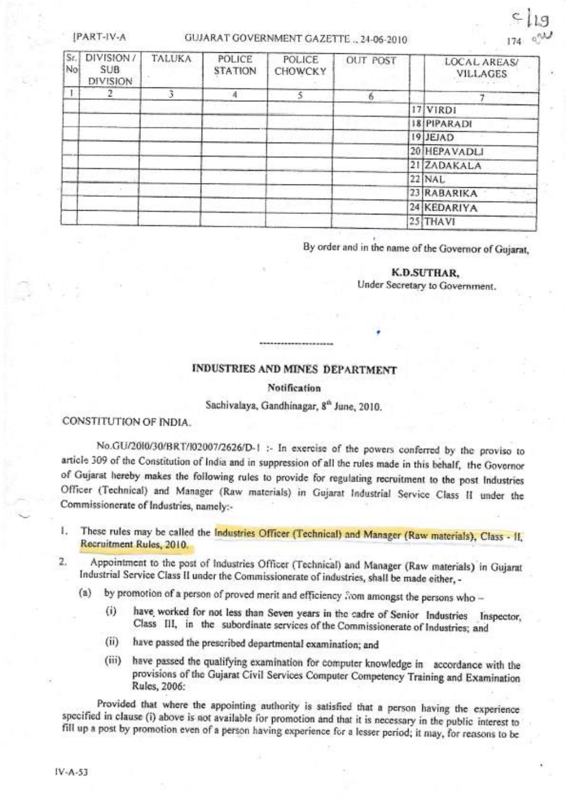IPART-IV-A

## GUJARAT GOVERNMENT GAZETTE .. 24-06-2010

| Sr.<br>No | DIVISION/<br><b>SUB</b><br>DIVISION | <b>TALUKA</b> | POLICE<br><b>STATION</b> | POLICE<br><b>CHOWCKY</b> | <b>OUT POST</b> | LOCAL AREAS/<br><b>VILLAGES</b> |
|-----------|-------------------------------------|---------------|--------------------------|--------------------------|-----------------|---------------------------------|
|           |                                     |               | - 4                      |                          | 6               |                                 |
|           |                                     |               |                          |                          |                 | 17 VIRD1                        |
|           |                                     |               |                          |                          |                 | 18 PIPARADI                     |
|           |                                     |               |                          |                          |                 | 19 JEJAD                        |
|           |                                     |               |                          |                          |                 | 20 HEPAVADLI                    |
|           |                                     |               |                          |                          |                 | 21 ZADAKALA                     |
|           |                                     |               |                          |                          |                 | $22$ NAL                        |
|           |                                     |               |                          |                          |                 | 23 RABARIKA                     |
|           |                                     |               |                          |                          |                 | 24 KEDARIYA                     |
|           |                                     |               |                          |                          |                 | 25 THAVI                        |

By order and in the name of the Governor of Gujarat,

## K.D.SUTHAR.

Under Secretary to Government.

## INDUSTRIES AND MINES DEPARTMENT

#### **Notification**

Sachivalaya, Gandhinagar, 8<sup>th</sup> June, 2010.

CONSTITUTION OF INDIA.

No.GU/2010/30/BRT/102007/2626/D-1 :- In exercise of the powers conferred by the proviso to article 309 of the Constitution of India and in suppression of all the rules made in this behalf, the Governor of Gujarat hereby makes the following rules to provide for regulating recruitment to the post Industries Officer (Technical) and Manager (Raw materials) in Gujarat Industrial Service Class II under the Commissionerate of Industries, namely:-

These rules may be called the Industries Officer (Technical) and Manager (Raw materials), Class - II, L Recruitment Rules, 2010.

Appointment to the post of Industries Officer (Technical) and Manager (Raw materials) in Gujarat 2. Industrial Service Class II under the Commissionerate of industries, shall be made either, -

by promotion of a person of proved merit and efficiency from amongst the persons who - $(a)$ 

- have worked for not less than Seven years in the cadre of Senior Industries Inspector,  $(i)$ Class III, in the subordinate services of the Commissionerate of Industries; and
- $(ii)$ have passed the prescribed departmental examination; and
- have passed the qualifying examination for computer knowledge in accordance with the  $(iii)$ provisions of the Gujarat Civil Services Computer Competency Training and Examination Rules, 2006:

Provided that where the appointing authority is satisfied that a person having the experience specified in clause (i) above is not available for promotion and that it is necessary in the public interest to fill up a post by promotion even of a person having experience for a lesser period; it may, for reasons to be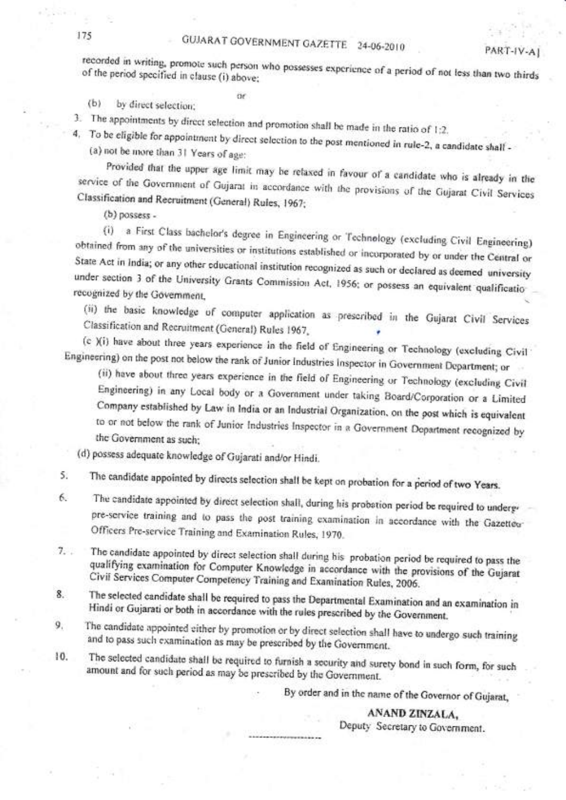recorded in writing, promote such person who possesses experience of a period of not less than two thirds of the period specified in clause (i) above;

PART-IV-AI

by direct selection;  $(b)$ 

3. The appointments by direct selection and promotion shall be made in the ratio of 1:2.

4. To be eligible for appointment by direct selection to the post mentioned in rule-2, a candidate shall -(a) not be more than 31 Years of age:

Provided that the upper age limit may be relaxed in favour of a candidate who is already in the service of the Government of Gujarat in accordance with the provisions of the Gujarat Civil Services Classification and Recruitment (General) Rules, 1967;

 $(b)$  possess -

(i) a First Class bachelor's degree in Engineering or Technology (excluding Civil Engineering) obtained from any of the universities or institutions established or incorporated by or under the Central or State Act in India; or any other educational institution recognized as such or declared as deemed university under section 3 of the University Grants Commission Act, 1956; or possess an equivalent qualificatiorecognized by the Government,

(ii) the basic knowledge of computer application as prescribed in the Gujarat Civil Services Classification and Recruitment (General) Rules 1967,

(c )(i) have about three years experience in the field of Engineering or Technology (excluding Civil Engineering) on the post not below the rank of Junior Industries Inspector in Government Department; or

(ii) have about three years experience in the field of Engineering or Technology (excluding Civil Engineering) in any Local body or a Government under taking Board/Corporation or a Limited Company established by Law in India or an Industrial Organization, on the post which is equivalent to or not below the rank of Junior Industries Inspector in a Government Dopartment recognized by the Government as such:

(d) possess adequate knowledge of Gujarati and/or Hindi.

The candidate appointed by directs selection shall be kept on probation for a period of two Years. 5.

- The candidate appointed by direct selection shall, during his probation period be required to underg-6. pre-service training and to pass the post training examination in accordance with the Gazetteu-Officers Pre-service Training and Examination Rules, 1970.
- The candidate appointed by direct selection shall during his probation period be required to pass the  $7.$ qualifying examination for Computer Knowledge in accordance with the provisions of the Gujarat Civil Services Computer Competency Training and Examination Rules, 2006.
- The selected candidate shall be required to pass the Departmental Examination and an examination in 8. Hindi or Gujarati or both in accordance with the rules prescribed by the Government.
- The candidate appointed either by promotion or by direct selection shall have to undergo such training  $9.$ and to pass such examination as may be prescribed by the Government.
- 10. The selected candidate shall be required to furnish a security and surety bond in such form, for such amount and for such period as may be prescribed by the Government.

By order and in the name of the Governor of Gujarat,

ANAND ZINZALA,

Deputy Secretary to Government.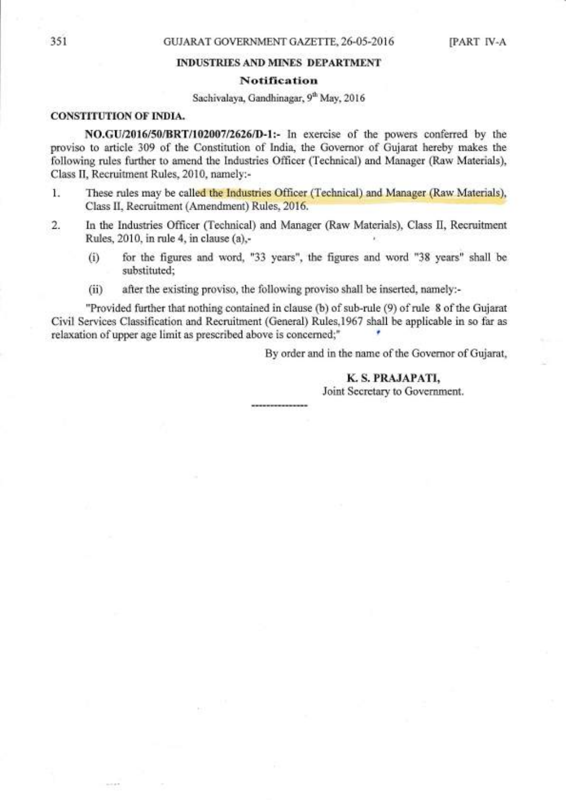### INDUSTRIES AND MINES DEPARTMENT

### Notification

## Sachivalaya, Gandhinagar, 9th May, 2016

## CONSTITUTION OF INDIA.

NO.GU/2016/50/BRT/102007/2626/D-1:- In exercise of the powers conferred by the proviso to article 309 of the Constitution of India, the Governor of Gujarat hereby makes the following rules further to amend the Industries Officer (Technical) and Manager (Raw Materials), Class II, Recruitment Rules, 2010, namely:-

- 1. These rules may be called the Industries Officer (Technical) and Manager (Raw Materials), Class II, Recruitment (Amendment) Rules, 2016.
- 2. In the Industries Officer (Technical) and Manager (Raw Materials), Class II, Recruitment Rules, 2010, in rule 4, in clause (a),-
	- $(i)$  for the figures and word, "33 years", the figures and word "38 years" shall be substituted;
	- (ii) after the existing proviso, the following proviso shall be inserted, namely:-

"Provided further that nothing contained in clause (b) of sub-rule (9) of rule 8 of the Gujarat Civil Services Classification and Recruitment (General) Rules,l967 shall be applicable in so far as relaxation of upper age limit as prescribed above is concerned;" '

By order and in the name of the Governor of Gujarat,

## K. S. PRAJAPATI,

Joint Secretary to Government.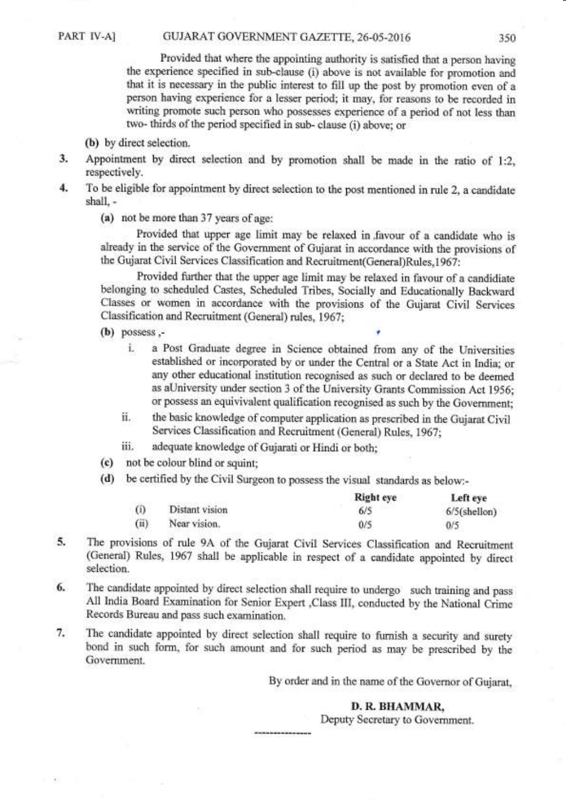Provided that where the appointing authority is satisfied that a person having the experience specified in sub-clause (i) above is not available for promotion and that it is necessary in the public interest to fill up the post by promotion even of <sup>a</sup> person having experience for a lesser period; it may, for reasons to be recorded in writing promote such person who possesses experience of a period of not less than two- thirds of the period specified in sub- clause (i) above; or

- (b) by direct selection.
- 3. Appointrnent by direct selection and by promotion shall be made in the ratio of l:2, respectively.
- 4. To be eligible for appointment by direct selection to the post mentioned in rule 2, a candidate shall, -
	- (a) not be more than 37 years of age:

Provided that upper age limit may be relaxed in,favour of a candidate who is already in the service of the Government of Gujarat in accordance with the provisions of the Gujarat Civil Services Classification and Recruitrnent(General)Rules,1967:

Provided further that the upper age limit may be relaxed in favour of a candidiate belonging to scheduled Castes, Scheduled Tribes, Socially and Educationally Backward Classes or women in accordance with the provisions of the Gujarat Civil Services Classification and Recruitment (General) rules, 1967;

- $(b)$  possess.
	- i. a Post Graduate degree in Science obtained from any of the Universities established or incorporated by or under the Central or a State Act in India; or any other educational institution recognised as such or declared to be deemed as aUniversity under section 3 of the University Grants Commission Act 1956; or possess an equivivalent qualification recognised as such by the Government;
	- ii. the basic knowledge of computer application as prescribed in the Gujarat Civil Services Classification and Recruitment (General) Rules, 1967;
	- iii. adequate knowledge of Gujarati or Hindi or both;
- (c) not be colour blind or squint;
- (d) be certified by the Civil Surgeon to possess the visual standards as below:-

|      |                | <b>Right</b> eye | Left eye        |
|------|----------------|------------------|-----------------|
| (i)  | Distant vision | 6/5              | $6/5$ (shellon) |
| (ii) | Near vision.   | 0/5              | 0/5             |

- 5. The provisions of rule 9A of the Gujarat Civil Services Classification and Recruitment (General) Rules, 1967 shall be applicable in respect of a candidate appointed by direct selection.
- 6- The candidate appointed by direct selection shall require to undergo such training and pass A11 India Board Examination for Senior Expert ,Class III, conducted by the National Crime Records Bureau and pass such examination.
- 7. The candidate appointed by direct selection shall require to fumish a security and surety bond in such form, for such amount and for such period as may be prescribed by the Government.

By order and in the name of the Govemor of Gujarat,

## D. R. BHAMMAR,

Deputy Secretary to Govemment.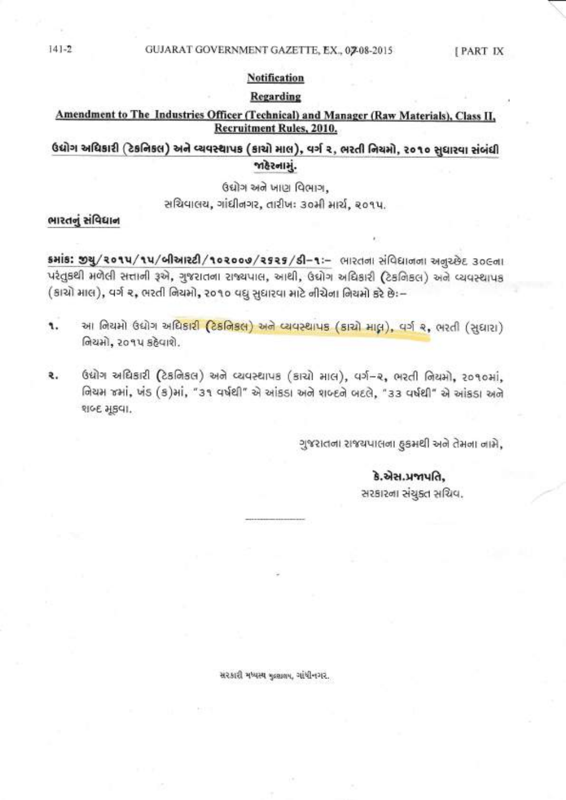#### GUJARAT GOVERNMENT GAZETTE, EX., 0208-2015

[PART IX

## **Notification**

## Regarding

## Amendment to The Industries Officer (Technical) and Manager (Raw Materials), Class II, Recruitment Rules, 2010.

## ઉદ્યોગ અધિકારી (ટેકનિકલ) અને વ્યવસ્થાપક (કાચો માલ), વર્ગ ૨, ભરતી નિયમો, ૨૦૧૦ સુધારવા સંબંધી જાહેરનામું.

ઉદ્યોગ અને ખાણ વિભાગ,

સચિવાલય, ગાંધીનગર, તારીખઃ ૩૦મી માર્ચ, ૨૦૧૫.

## ભારતનું સંવિધાન

shis: 94/2014/14/બીઆરટી/102000/2525/SI-1:- ભારતના સંવિદ્યાનના અનુરછેદ 30Gના પરંતુકથી મળેલી સત્તાની રૂએ, ગુજરાતના રાજ્યપાલ, આથી, ઉદ્યોગ અધિકારી (ટેકનિકલ) અને વ્યવસ્થાપક (કાચો માલ), વર્ગ ૨, ભરતી નિયમો, ૨૦૧૦ વધુ સુધારવા માટે નીચેના નિયમો કરે છેઃ–

- આ નિયમો ઉદ્યોગ અધિકા<mark>રી (ટેકનિકલ) અને વ્યવસ્થાપક (કાચો માલ્ન), વર્ગ ૨,</mark> ભરતી (સુધારા) ٩. નિયમો, ૨૦૧૫ કઠેવાશે.
- ઉદ્યોગ અધિકારી (ટેકનિકલ) અને વ્યવસ્થાપક (કાચો માલ), વર્ગ-૨, ભરતી નિયમો, ૨૦૧૦માં, ₹. નિયમ જમાં, ખંડ (ક)માં, "૩૧ વર્ષથી" એ આંકડા અને શબ્દને બદલે, "૩૩ વર્ષથી" એ આંકડા અને शબ्દ મૂકવા.

ગુજરાતના રાજયપાલના હકમથી અને તેમના નામે,

## કે.એસ.પ્રજાપતિ,

સરકારના સંચુક્ત સચિવ.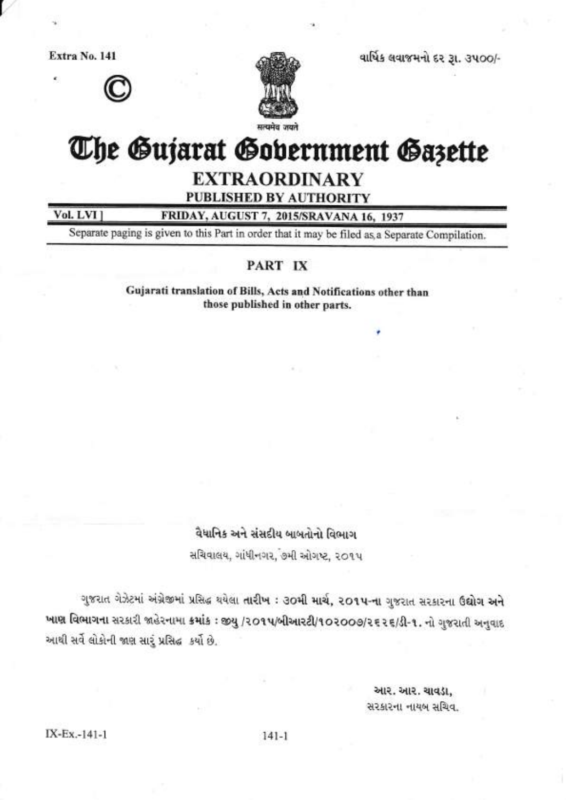Extra No. 141





વાર્ષિક લવાજમનો દર રૂા. ૩૫૦૦/-

# The Gujarat Gobernment Gazette

**EXTRAORDINARY** 

PUBLISHED BY AUTHORITY

Vol. LVI ]

FRIDAY, AUGUST 7, 2015/SRAVANA 16, 1937

Separate paging is given to this Part in order that it may be filed as, a Separate Compilation.

## PART IX

Gujarati translation of Bills, Acts and Notifications other than those published in other parts.

## વૈધાનિક અને સંસદીય બાબતોનો વિભાગ

સચિવાલય, ગાંધીનગર, ૭મી ઓગષ્ટ, ૨૦૧૫

ગુજરાત ગેઝેટમાં અંગ્રેજીમાં પ્રસિદ્ધ થયેલા તારીખ : ૩૦મી માર્ચ, ૨૦૧૫-ના ગુજરાત સરકારના ઉદ્યોગ અને ખાણ વિભાગના સરકારી જાહેરનામા ક્રમાંક : જીયુ /૨૦૧૫/બીઆરટી/૧૦૨૦૦૭/૨૬૨૬/ડી-૧. નો ગુજરાતી અનુવાદ આથી સર્વે લોકોની જાણ સારૂં પ્રસિદ્ધ કર્યો છે.

> આર. આર. ચાવડા, સરકારના નાયબ સચિવ.

 $141 - 1$ 

IX-Ex.-141-1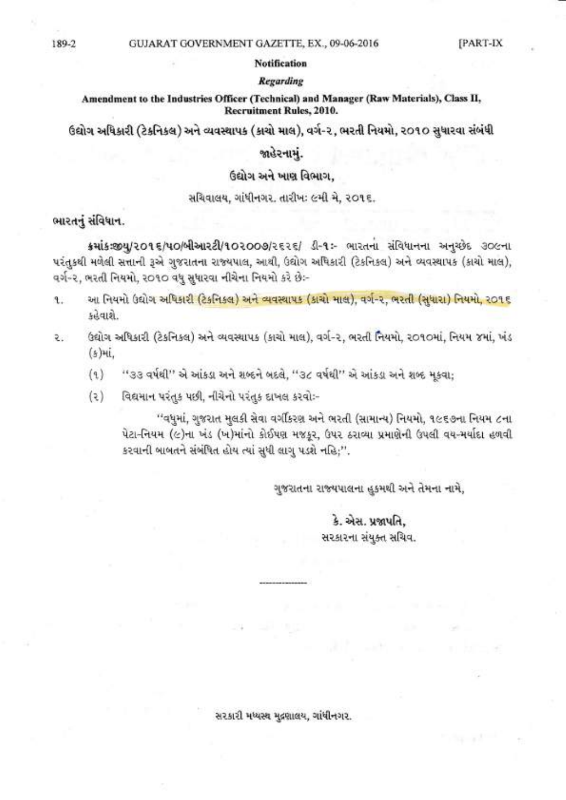#### **Notification**

## **Regarding**

## Amendment to the Industries Officer (Technical) and Manager (Raw Materials), Class II. **Recruitment Rules, 2010.**

ઉદ્યોગ અધિકારી (ટેકનિકલ) અને વ્યવસ્થાપક (કાચો માલ), વર્ગ-૨, ભરતી નિયમો, ૨૦૧૦ સુધારવા સંબંધી

## જાહેરનામં.

## ઉદ્યોગ અને ખાણ વિભાગ.

### સચિવાલય, ગાંધીનગર. તારીખઃ ૯મી મે, ૨૦૧૬.

## ભારતનું સંવિધાન.

ક્રમાંકઃજીય/૨૦૧૬/૫૦/બીઆરટી/૧૦૨૦૦૭/૨૬૨૬/ ડી-૧ઃ- ભારતના સંવિધાનના અનુચ્છેદ ૩૦૯ના પરંતુકથી મળેલી સત્તાની રૂએ ગુજરાતના રાજ્યપાલ, આથી, ઉદ્યોગ અધિકારી (ટેકનિકલ) અને વ્યવસ્થાપક (કાચો માલ), વર્ગ-૨, ભરતી નિયમો, ર૦૧૦ વધુ સુધારવા નીચેના નિયમો કરે છેઃ-

- આ નિયમો ઉદ્યોગ અધિકારી (ટેકનિકલ) અને વ્યવસ્થાપક (કાચો માલ), વગે-૨, ભરતી (સંધારા) નિયમો, ર**ા** ૬  $\mathbf{f}$ . કહેવાશે.
- ઉદ્યોગ અધિકારી (ટેકનિકલ) અને વ્યવસ્થાપક (કાચો માલ), વર્ગ-૨, ભરતી નિયમો, ૨૦૧૦માં, નિયમ ૪માં, ખંડ ર  $(s)$ માં.
	- $(9)$ ''૩૩ વર્ષથી'' એ આંકડા અને શબ્દને બદલે, ''૩૮ વર્ષથી'' એ આંકડા અને શબ્દ મુકવા;
	- $(3)$ વિદ્યમાન પરંતુક પછી, નીચેનો પરંતુક દાખલ કરવોઃ-

''વધુમાં, ગુજરાત મુલકી સેવા વર્ગીકરણ અને ભરતી (સામાન્ય) નિયમો, ૧૯૬૭ના નિયમ ૮ના પેટા-નિયમ (૯)ના ખંડ (ખ)માંનો કોઈપણ મજકૂર, ઉપર ઠરાવ્યા પ્રમાણેની ઉપલી વય-મર્યાદા હળવી કરવાની બાબતને સંબંધિત હોય ત્યાં સુધી લાગુ પડશે નહિ;''.

ગુજરાતના રાજ્યપાલના હુકમથી અને તેમના નામે,

કે. એસ. પ્રજાપતિ. સરકારના સંયુક્ત સચિવ.

સરકારી મધ્યસ્થ મુદ્રણાલય, ગાંધીનગર.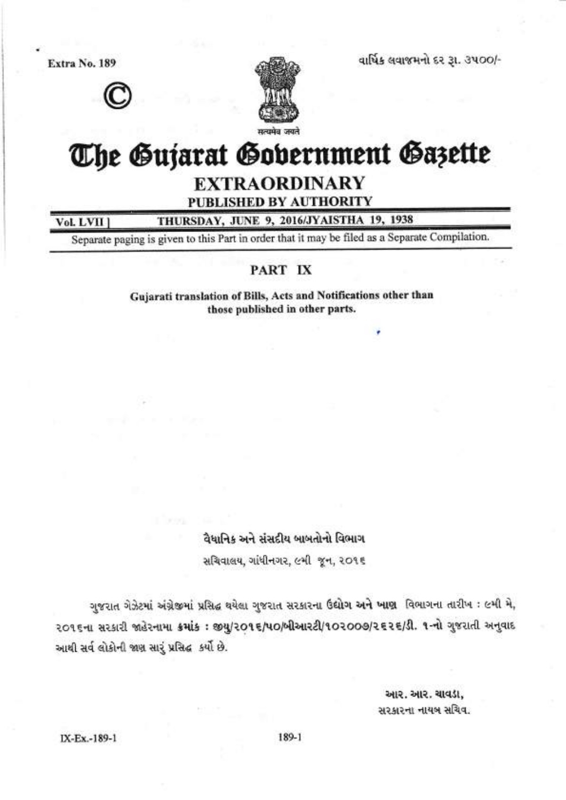Extra No. 189





વાર્ષિક લવાજમનો દર રૂા. ૩૫૦૦/-

## The Gujarat Gobernment Gazette

## **EXTRAORDINARY**

PUBLISHED BY AUTHORITY

THURSDAY, JUNE 9, 2016/JYAISTHA 19, 1938 Vol. LVII

Separate paging is given to this Part in order that it may be filed as a Separate Compilation.

## PART IX

Gujarati translation of Bills, Acts and Notifications other than those published in other parts.

> વૈધાનિક અને સંસદીય બાબતોનો વિભાગ સચિવાલય, ગાંધીનગર, ૯મી જૂન, ૨૦૧૬

ગુજરાત ગેઝેટમાં અંગ્રેજીમાં પ્રસિદ્ધ થયેલા ગુજરાત સરકારના ઉદ્યોગ અને ખાણ વિભાગના તારીખ: ૯મી મે, २०१६ના સરકારી જાહેરનામા ક્રમાંક: જીયુ/૨૦૧૬/૫૦/બીઆરટી/૧૦૨૦૦૭/૨૬૨૬/ડી. ૧-નો ગુજરાતી અનુવાદ આથી સર્વલોકોની જાણ સારૂં પ્રસિદ્ધ કર્યો છે.

> આર. આર. ચાવડા, સરકારના નાયબ સચિવ.

IX-Ex.-189-1

189-1